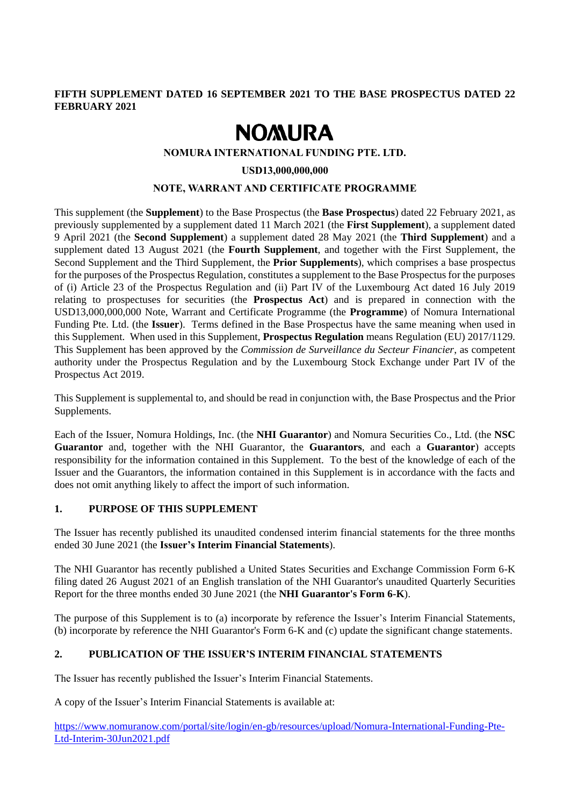## **FIFTH SUPPLEMENT DATED 16 SEPTEMBER 2021 TO THE BASE PROSPECTUS DATED 22 FEBRUARY 2021**

# **NOMURA**

### **NOMURA INTERNATIONAL FUNDING PTE. LTD.**

#### **USD13,000,000,000**

#### **NOTE, WARRANT AND CERTIFICATE PROGRAMME**

This supplement (the **Supplement**) to the Base Prospectus (the **Base Prospectus**) dated 22 February 2021, as previously supplemented by a supplement dated 11 March 2021 (the **First Supplement**), a supplement dated 9 April 2021 (the **Second Supplement**) a supplement dated 28 May 2021 (the **Third Supplement**) and a supplement dated 13 August 2021 (the **Fourth Supplement**, and together with the First Supplement, the Second Supplement and the Third Supplement, the **Prior Supplements**), which comprises a base prospectus for the purposes of the Prospectus Regulation, constitutes a supplement to the Base Prospectus for the purposes of (i) Article 23 of the Prospectus Regulation and (ii) Part IV of the Luxembourg Act dated 16 July 2019 relating to prospectuses for securities (the **Prospectus Act**) and is prepared in connection with the USD13,000,000,000 Note, Warrant and Certificate Programme (the **Programme**) of Nomura International Funding Pte. Ltd. (the **Issuer**). Terms defined in the Base Prospectus have the same meaning when used in this Supplement. When used in this Supplement, **Prospectus Regulation** means Regulation (EU) 2017/1129. This Supplement has been approved by the *Commission de Surveillance du Secteur Financier*, as competent authority under the Prospectus Regulation and by the Luxembourg Stock Exchange under Part IV of the Prospectus Act 2019.

This Supplement is supplemental to, and should be read in conjunction with, the Base Prospectus and the Prior Supplements.

Each of the Issuer, Nomura Holdings, Inc. (the **NHI Guarantor**) and Nomura Securities Co., Ltd. (the **NSC Guarantor** and, together with the NHI Guarantor, the **Guarantors**, and each a **Guarantor**) accepts responsibility for the information contained in this Supplement. To the best of the knowledge of each of the Issuer and the Guarantors, the information contained in this Supplement is in accordance with the facts and does not omit anything likely to affect the import of such information.

## **1. PURPOSE OF THIS SUPPLEMENT**

The Issuer has recently published its unaudited condensed interim financial statements for the three months ended 30 June 2021 (the **Issuer's Interim Financial Statements**).

The NHI Guarantor has recently published a United States Securities and Exchange Commission Form 6-K filing dated 26 August 2021 of an English translation of the NHI Guarantor's unaudited Quarterly Securities Report for the three months ended 30 June 2021 (the **NHI Guarantor's Form 6-K**).

The purpose of this Supplement is to (a) incorporate by reference the Issuer's Interim Financial Statements, (b) incorporate by reference the NHI Guarantor's Form 6-K and (c) update the significant change statements.

## **2. PUBLICATION OF THE ISSUER'S INTERIM FINANCIAL STATEMENTS**

The Issuer has recently published the Issuer's Interim Financial Statements.

A copy of the Issuer's Interim Financial Statements is available at:

https://www.nomuranow.com/portal/site/login/en-gb/resources/upload/Nomura-International-Funding-Pte-Ltd-Interim-30Jun2021.pdf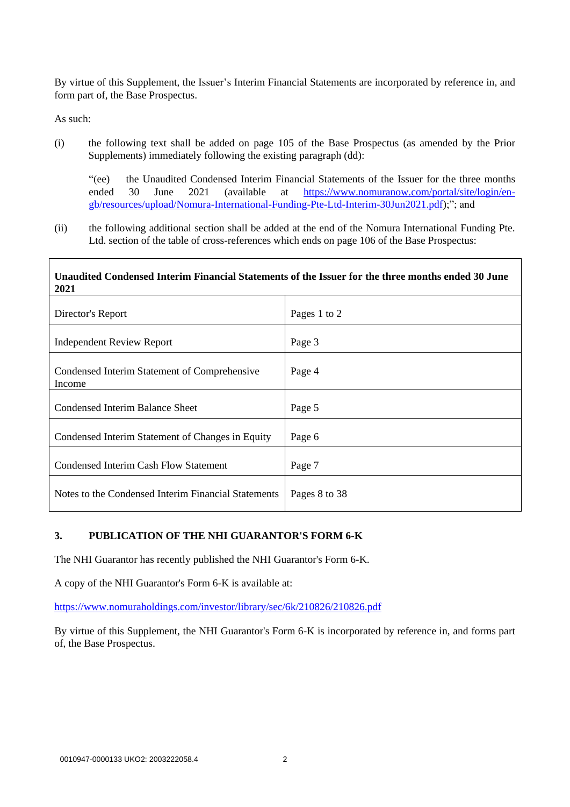By virtue of this Supplement, the Issuer's Interim Financial Statements are incorporated by reference in, and form part of, the Base Prospectus.

As such:

(i) the following text shall be added on page 105 of the Base Prospectus (as amended by the Prior Supplements) immediately following the existing paragraph (dd):

"(ee) the Unaudited Condensed Interim Financial Statements of the Issuer for the three months ended 30 June 2021 (available at [https://www.nomuranow.com/portal/site/login/en](https://www.nomuranow.com/portal/site/login/en-gb/resources/upload/Nomura-International-Funding-Pte-Ltd-Interim-30Jun2021.pdf)[gb/resources/upload/Nomura-International-Funding-Pte-Ltd-Interim-30Jun2021.pdf\)](https://www.nomuranow.com/portal/site/login/en-gb/resources/upload/Nomura-International-Funding-Pte-Ltd-Interim-30Jun2021.pdf);"; and

(ii) the following additional section shall be added at the end of the Nomura International Funding Pte. Ltd. section of the table of cross-references which ends on page 106 of the Base Prospectus:

### **Unaudited Condensed Interim Financial Statements of the Issuer for the three months ended 30 June 2021**

| Director's Report                                      | Pages 1 to 2  |
|--------------------------------------------------------|---------------|
| <b>Independent Review Report</b>                       | Page 3        |
| Condensed Interim Statement of Comprehensive<br>Income | Page 4        |
| Condensed Interim Balance Sheet                        | Page 5        |
| Condensed Interim Statement of Changes in Equity       | Page 6        |
| <b>Condensed Interim Cash Flow Statement</b>           | Page 7        |
| Notes to the Condensed Interim Financial Statements    | Pages 8 to 38 |

## **3. PUBLICATION OF THE NHI GUARANTOR'S FORM 6-K**

The NHI Guarantor has recently published the NHI Guarantor's Form 6-K.

A copy of the NHI Guarantor's Form 6-K is available at:

<https://www.nomuraholdings.com/investor/library/sec/6k/210826/210826.pdf>

By virtue of this Supplement, the NHI Guarantor's Form 6-K is incorporated by reference in, and forms part of, the Base Prospectus.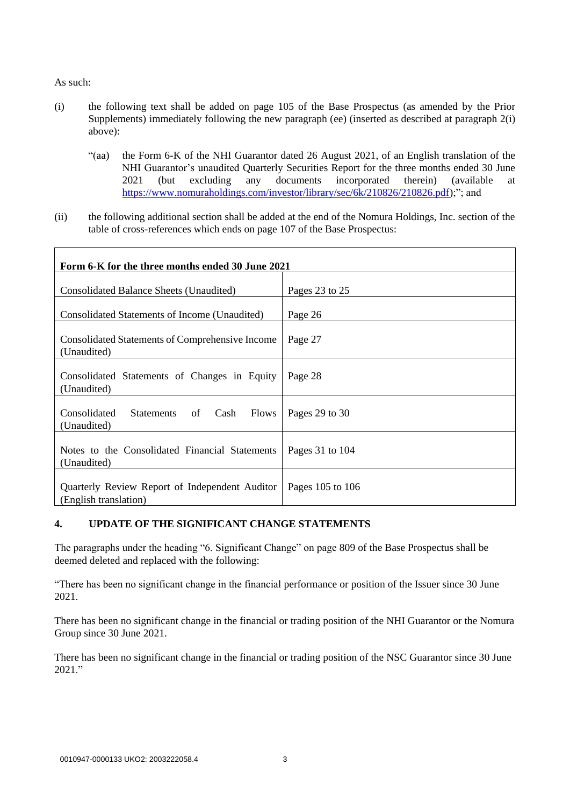As such:

- (i) the following text shall be added on page 105 of the Base Prospectus (as amended by the Prior Supplements) immediately following the new paragraph (ee) (inserted as described at paragraph 2(i) above):
	- "(aa) the Form 6-K of the NHI Guarantor dated 26 August 2021, of an English translation of the NHI Guarantor's unaudited Quarterly Securities Report for the three months ended 30 June 2021 (but excluding any documents incorporated therein) (available at https://www.nomuraholdings.com/investor/library/sec/6k/210826/210826.pdf);"; and
- (ii) the following additional section shall be added at the end of the Nomura Holdings, Inc. section of the table of cross-references which ends on page 107 of the Base Prospectus:

| Form 6-K for the three months ended 30 June 2021                        |                  |
|-------------------------------------------------------------------------|------------------|
| Consolidated Balance Sheets (Unaudited)                                 | Pages 23 to 25   |
| Consolidated Statements of Income (Unaudited)                           | Page 26          |
| <b>Consolidated Statements of Comprehensive Income</b><br>(Unaudited)   | Page 27          |
| Consolidated Statements of Changes in Equity<br>(Unaudited)             | Page 28          |
| Consolidated<br>Statements<br>Cash<br><b>Flows</b><br>of<br>(Unaudited) | Pages 29 to 30   |
| Notes to the Consolidated Financial Statements<br>(Unaudited)           | Pages 31 to 104  |
| Quarterly Review Report of Independent Auditor<br>(English translation) | Pages 105 to 106 |

## **4. UPDATE OF THE SIGNIFICANT CHANGE STATEMENTS**

The paragraphs under the heading "6. Significant Change" on page 809 of the Base Prospectus shall be deemed deleted and replaced with the following:

"There has been no significant change in the financial performance or position of the Issuer since 30 June 2021.

There has been no significant change in the financial or trading position of the NHI Guarantor or the Nomura Group since 30 June 2021.

There has been no significant change in the financial or trading position of the NSC Guarantor since 30 June 2021."